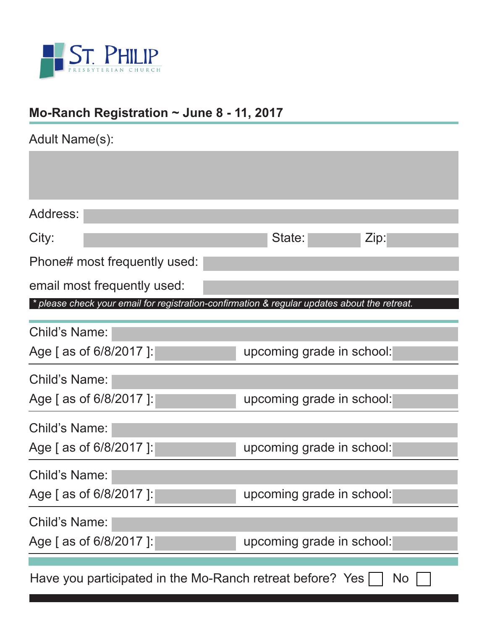

# **Mo-Ranch Registration ~ June 8 - 11, 2017**

| Adult Name(s):                                                                               |                           |  |
|----------------------------------------------------------------------------------------------|---------------------------|--|
|                                                                                              |                           |  |
|                                                                                              |                           |  |
| Address:                                                                                     |                           |  |
| City:                                                                                        | State:<br>Zip:            |  |
| Phone# most frequently used:                                                                 |                           |  |
| email most frequently used:                                                                  |                           |  |
| * please check your email for registration-confirmation & regular updates about the retreat. |                           |  |
| Child's Name:                                                                                |                           |  |
| Age [ as of 6/8/2017 ]:                                                                      | upcoming grade in school: |  |
| Child's Name:                                                                                |                           |  |
| Age [ as of 6/8/2017 ]:                                                                      | upcoming grade in school: |  |
| <b>Child's Name:</b>                                                                         |                           |  |
| Age [ as of 6/8/2017 ]:                                                                      | upcoming grade in school: |  |
| <b>Child's Name:</b>                                                                         |                           |  |
| Age [ as of 6/8/2017 ]:                                                                      | upcoming grade in school: |  |
| Child's Name:                                                                                |                           |  |
| Age [ as of 6/8/2017 ]:                                                                      | upcoming grade in school: |  |
| Have you participated in the Mo-Ranch retreat before? Yes<br>No                              |                           |  |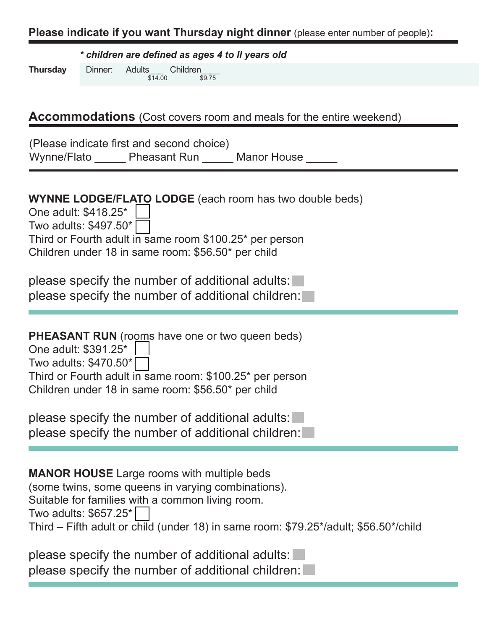#### **Please indicate if you want Thursday night dinner** (please enter number of people)**:**

*\* children are defined as ages 4 to ll years old*

**Thursday** Dinner: Adults\_\_\_ Children\_\_\_\_ \$14.00 \$9.75

#### **Accommodations** (Cost covers room and meals for the entire weekend)

|             | (Please indicate first and second choice) |                    |  |
|-------------|-------------------------------------------|--------------------|--|
| Wynne/Flato | <b>Pheasant Run</b>                       | <b>Manor House</b> |  |

| <b>WYNNE LODGE/FLATO LODGE</b> (each room has two double beds)<br>One adult: \$418.25*<br>Two adults: \$497.50*<br>Third or Fourth adult in same room \$100.25* per person<br>Children under 18 in same room: \$56.50* per child                                                         |
|------------------------------------------------------------------------------------------------------------------------------------------------------------------------------------------------------------------------------------------------------------------------------------------|
| please specify the number of additional adults:<br>please specify the number of additional children:                                                                                                                                                                                     |
| <b>PHEASANT RUN</b> (rooms have one or two queen beds)<br>One adult: \$391.25*<br>Two adults: \$470.50*<br>Third or Fourth adult in same room: \$100.25* per person<br>Children under 18 in same room: \$56.50* per child                                                                |
| please specify the number of additional adults:<br>please specify the number of additional children:                                                                                                                                                                                     |
| <b>MANOR HOUSE</b> Large rooms with multiple beds<br>(some twins, some queens in varying combinations).<br>Suitable for families with a common living room.<br>Two adults: \$657.25 <sup>*</sup><br>Third - Fifth adult or child (under 18) in same room: \$79.25*/adult; \$56.50*/child |
| please specify the number of additional adults:<br>please specify the number of additional children:                                                                                                                                                                                     |